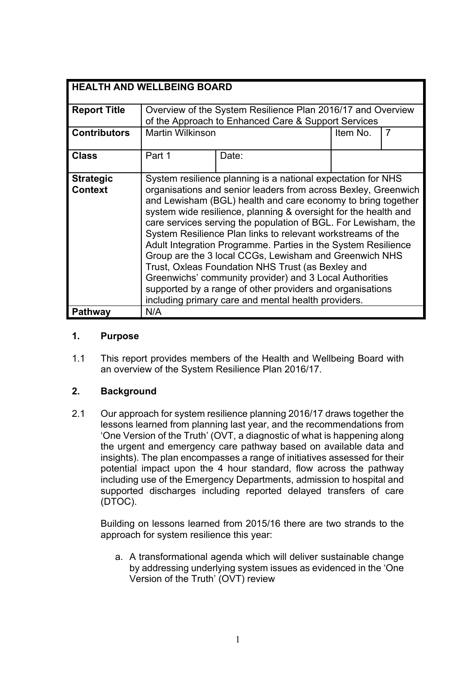| <b>HEALTH AND WELLBEING BOARD</b> |                                                                 |       |          |   |
|-----------------------------------|-----------------------------------------------------------------|-------|----------|---|
|                                   |                                                                 |       |          |   |
| <b>Report Title</b>               | Overview of the System Resilience Plan 2016/17 and Overview     |       |          |   |
|                                   | of the Approach to Enhanced Care & Support Services             |       |          |   |
| <b>Contributors</b>               | <b>Martin Wilkinson</b>                                         |       | Item No. | 7 |
|                                   |                                                                 |       |          |   |
| <b>Class</b>                      | Part 1                                                          | Date: |          |   |
|                                   |                                                                 |       |          |   |
| <b>Strategic</b>                  | System resilience planning is a national expectation for NHS    |       |          |   |
| <b>Context</b>                    | organisations and senior leaders from across Bexley, Greenwich  |       |          |   |
|                                   | and Lewisham (BGL) health and care economy to bring together    |       |          |   |
|                                   | system wide resilience, planning & oversight for the health and |       |          |   |
|                                   |                                                                 |       |          |   |
|                                   | care services serving the population of BGL. For Lewisham, the  |       |          |   |
|                                   | System Resilience Plan links to relevant workstreams of the     |       |          |   |
|                                   | Adult Integration Programme. Parties in the System Resilience   |       |          |   |
|                                   | Group are the 3 local CCGs, Lewisham and Greenwich NHS          |       |          |   |
|                                   | Trust, Oxleas Foundation NHS Trust (as Bexley and               |       |          |   |
|                                   | Greenwichs' community provider) and 3 Local Authorities         |       |          |   |
|                                   | supported by a range of other providers and organisations       |       |          |   |
|                                   | including primary care and mental health providers.             |       |          |   |
| Pathway                           | N/A                                                             |       |          |   |

### **1. Purpose**

1.1 This report provides members of the Health and Wellbeing Board with an overview of the System Resilience Plan 2016/17.

### **2. Background**

2.1 Our approach for system resilience planning 2016/17 draws together the lessons learned from planning last year, and the recommendations from 'One Version of the Truth' (OVT, a diagnostic of what is happening along the urgent and emergency care pathway based on available data and insights). The plan encompasses a range of initiatives assessed for their potential impact upon the 4 hour standard, flow across the pathway including use of the Emergency Departments, admission to hospital and supported discharges including reported delayed transfers of care (DTOC).

Building on lessons learned from 2015/16 there are two strands to the approach for system resilience this year:

a. A transformational agenda which will deliver sustainable change by addressing underlying system issues as evidenced in the 'One Version of the Truth' (OVT) review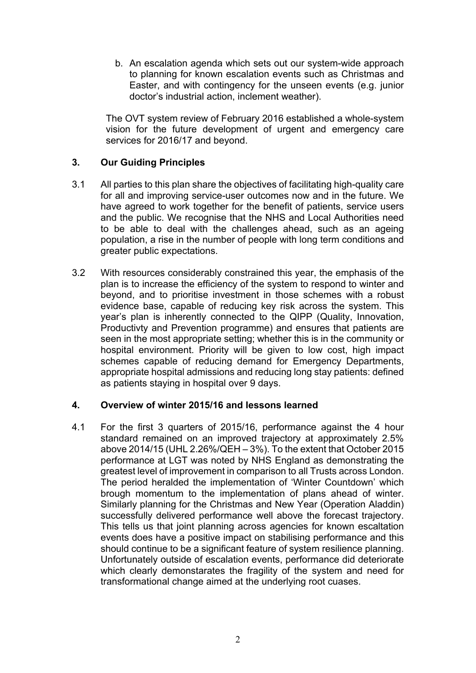b. An escalation agenda which sets out our system-wide approach to planning for known escalation events such as Christmas and Easter, and with contingency for the unseen events (e.g. junior doctor's industrial action, inclement weather).

The OVT system review of February 2016 established a whole-system vision for the future development of urgent and emergency care services for 2016/17 and beyond.

### **3. Our Guiding Principles**

- 3.1 All parties to this plan share the objectives of facilitating high-quality care for all and improving service-user outcomes now and in the future. We have agreed to work together for the benefit of patients, service users and the public. We recognise that the NHS and Local Authorities need to be able to deal with the challenges ahead, such as an ageing population, a rise in the number of people with long term conditions and greater public expectations.
- 3.2 With resources considerably constrained this year, the emphasis of the plan is to increase the efficiency of the system to respond to winter and beyond, and to prioritise investment in those schemes with a robust evidence base, capable of reducing key risk across the system. This year's plan is inherently connected to the QIPP (Quality, Innovation, Productivty and Prevention programme) and ensures that patients are seen in the most appropriate setting; whether this is in the community or hospital environment. Priority will be given to low cost, high impact schemes capable of reducing demand for Emergency Departments, appropriate hospital admissions and reducing long stay patients: defined as patients staying in hospital over 9 days.

### **4. Overview of winter 2015/16 and lessons learned**

4.1 For the first 3 quarters of 2015/16, performance against the 4 hour standard remained on an improved trajectory at approximately 2.5% above 2014/15 (UHL 2.26%/QEH – 3%). To the extent that October 2015 performance at LGT was noted by NHS England as demonstrating the greatest level of improvement in comparison to all Trusts across London. The period heralded the implementation of 'Winter Countdown' which brough momentum to the implementation of plans ahead of winter. Similarly planning for the Christmas and New Year (Operation Aladdin) successfully delivered performance well above the forecast trajectory. This tells us that joint planning across agencies for known escaltation events does have a positive impact on stabilising performance and this should continue to be a significant feature of system resilience planning. Unfortunately outside of escalation events, performance did deteriorate which clearly demonstarates the fragility of the system and need for transformational change aimed at the underlying root cuases.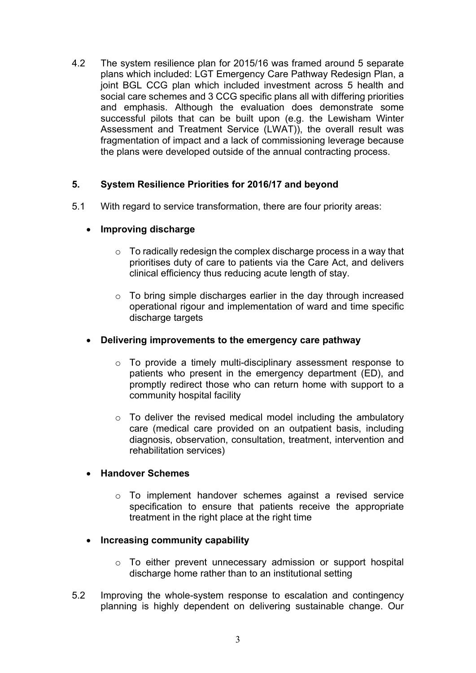4.2 The system resilience plan for 2015/16 was framed around 5 separate plans which included: LGT Emergency Care Pathway Redesign Plan, a joint BGL CCG plan which included investment across 5 health and social care schemes and 3 CCG specific plans all with differing priorities and emphasis. Although the evaluation does demonstrate some successful pilots that can be built upon (e.g. the Lewisham Winter Assessment and Treatment Service (LWAT)), the overall result was fragmentation of impact and a lack of commissioning leverage because the plans were developed outside of the annual contracting process.

### **5. System Resilience Priorities for 2016/17 and beyond**

- 5.1 With regard to service transformation, there are four priority areas:
	- **Improving discharge**
		- $\circ$  To radically redesign the complex discharge process in a way that prioritises duty of care to patients via the Care Act, and delivers clinical efficiency thus reducing acute length of stay.
		- $\circ$  To bring simple discharges earlier in the day through increased operational rigour and implementation of ward and time specific discharge targets
	- **Delivering improvements to the emergency care pathway**
		- o To provide a timely multi-disciplinary assessment response to patients who present in the emergency department (ED), and promptly redirect those who can return home with support to a community hospital facility
		- $\circ$  To deliver the revised medical model including the ambulatory care (medical care provided on an outpatient basis, including diagnosis, observation, consultation, treatment, intervention and rehabilitation services)

### **Handover Schemes**

- o To implement handover schemes against a revised service specification to ensure that patients receive the appropriate treatment in the right place at the right time
- **Increasing community capability**
	- o To either prevent unnecessary admission or support hospital discharge home rather than to an institutional setting
- 5.2 Improving the whole-system response to escalation and contingency planning is highly dependent on delivering sustainable change. Our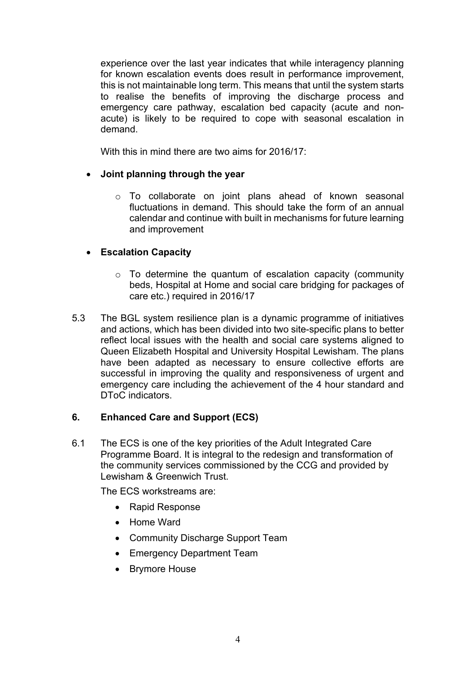experience over the last year indicates that while interagency planning for known escalation events does result in performance improvement, this is not maintainable long term. This means that until the system starts to realise the benefits of improving the discharge process and emergency care pathway, escalation bed capacity (acute and nonacute) is likely to be required to cope with seasonal escalation in demand.

With this in mind there are two aims for 2016/17:

# **Joint planning through the year**

o To collaborate on joint plans ahead of known seasonal fluctuations in demand. This should take the form of an annual calendar and continue with built in mechanisms for future learning and improvement

# **Escalation Capacity**

- $\circ$  To determine the quantum of escalation capacity (community beds, Hospital at Home and social care bridging for packages of care etc.) required in 2016/17
- 5.3 The BGL system resilience plan is a dynamic programme of initiatives and actions, which has been divided into two site-specific plans to better reflect local issues with the health and social care systems aligned to Queen Elizabeth Hospital and University Hospital Lewisham. The plans have been adapted as necessary to ensure collective efforts are successful in improving the quality and responsiveness of urgent and emergency care including the achievement of the 4 hour standard and DToC indicators

# **6. Enhanced Care and Support (ECS)**

6.1 The ECS is one of the key priorities of the Adult Integrated Care Programme Board. It is integral to the redesign and transformation of the community services commissioned by the CCG and provided by Lewisham & Greenwich Trust.

The ECS workstreams are:

- Rapid Response
- Home Ward
- Community Discharge Support Team
- Emergency Department Team
- Brymore House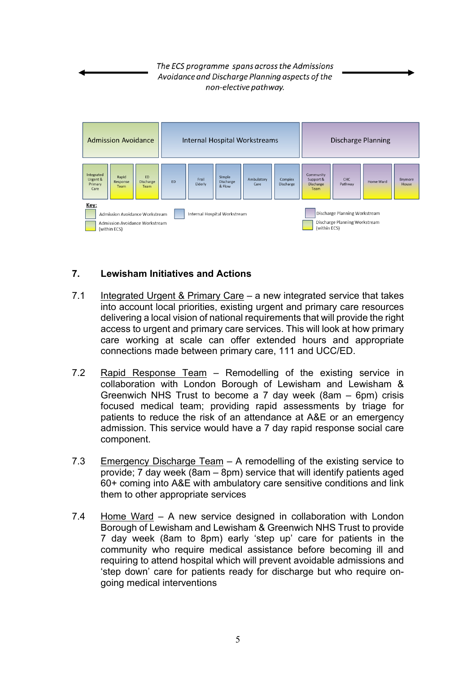The ECS programme spans across the Admissions Avoidance and Discharge Planning aspects of the non-elective pathway.



# **7. Lewisham Initiatives and Actions**

- 7.1 Integrated Urgent & Primary Care a new integrated service that takes into account local priorities, existing urgent and primary care resources delivering a local vision of national requirements that will provide the right access to urgent and primary care services. This will look at how primary care working at scale can offer extended hours and appropriate connections made between primary care, 111 and UCC/ED.
- 7.2 Rapid Response Team Remodelling of the existing service in collaboration with London Borough of Lewisham and Lewisham & Greenwich NHS Trust to become a 7 day week (8am – 6pm) crisis focused medical team; providing rapid assessments by triage for patients to reduce the risk of an attendance at A&E or an emergency admission. This service would have a 7 day rapid response social care component.
- 7.3 Emergency Discharge Team A remodelling of the existing service to provide; 7 day week (8am – 8pm) service that will identify patients aged 60+ coming into A&E with ambulatory care sensitive conditions and link them to other appropriate services
- 7.4 Home Ward A new service designed in collaboration with London Borough of Lewisham and Lewisham & Greenwich NHS Trust to provide 7 day week (8am to 8pm) early 'step up' care for patients in the community who require medical assistance before becoming ill and requiring to attend hospital which will prevent avoidable admissions and 'step down' care for patients ready for discharge but who require ongoing medical interventions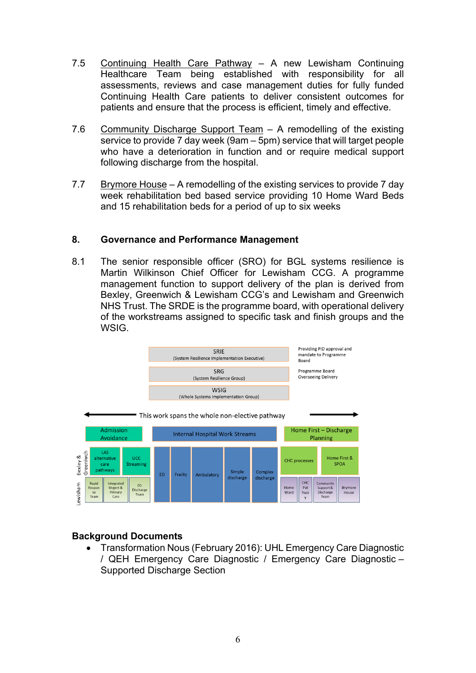- 7.5 Continuing Health Care Pathway A new Lewisham Continuing Healthcare Team being established with responsibility for all assessments, reviews and case management duties for fully funded Continuing Health Care patients to deliver consistent outcomes for patients and ensure that the process is efficient, timely and effective.
- 7.6 Community Discharge Support Team A remodelling of the existing service to provide 7 day week (9am – 5pm) service that will target people who have a deterioration in function and or require medical support following discharge from the hospital.
- 7.7 Brymore House A remodelling of the existing services to provide 7 day week rehabilitation bed based service providing 10 Home Ward Beds and 15 rehabilitation beds for a period of up to six weeks

### **8. Governance and Performance Management**

8.1 The senior responsible officer (SRO) for BGL systems resilience is Martin Wilkinson Chief Officer for Lewisham CCG. A programme management function to support delivery of the plan is derived from Bexley, Greenwich & Lewisham CCG's and Lewisham and Greenwich NHS Trust. The SRDE is the programme board, with operational delivery of the workstreams assigned to specific task and finish groups and the **WSIG.** 



### **Background Documents**

 Transformation Nous (February 2016): UHL Emergency Care Diagnostic / QEH Emergency Care Diagnostic / Emergency Care Diagnostic – Supported Discharge Section